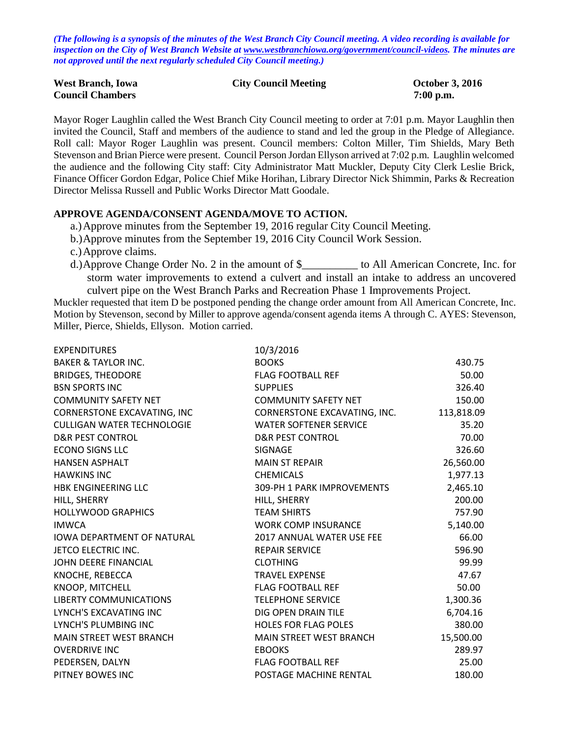*(The following is a synopsis of the minutes of the West Branch City Council meeting. A video recording is available for inspection on the City of West Branch Website at [www.westbranchiowa.org/government/council-videos.](http://www.westbranchiowa.org/government/council-videos) The minutes are not approved until the next regularly scheduled City Council meeting.)*

| <b>West Branch, Iowa</b> | <b>City Council Meeting</b> | <b>October 3, 2016</b> |
|--------------------------|-----------------------------|------------------------|
| <b>Council Chambers</b>  |                             | $7:00$ p.m.            |

Mayor Roger Laughlin called the West Branch City Council meeting to order at 7:01 p.m. Mayor Laughlin then invited the Council, Staff and members of the audience to stand and led the group in the Pledge of Allegiance. Roll call: Mayor Roger Laughlin was present. Council members: Colton Miller, Tim Shields, Mary Beth Stevenson and Brian Pierce were present. Council Person Jordan Ellyson arrived at 7:02 p.m. Laughlin welcomed the audience and the following City staff: City Administrator Matt Muckler, Deputy City Clerk Leslie Brick, Finance Officer Gordon Edgar, Police Chief Mike Horihan, Library Director Nick Shimmin, Parks & Recreation Director Melissa Russell and Public Works Director Matt Goodale.

# **APPROVE AGENDA/CONSENT AGENDA/MOVE TO ACTION.**

- a.)Approve minutes from the September 19, 2016 regular City Council Meeting.
- b.)Approve minutes from the September 19, 2016 City Council Work Session.
- c.)Approve claims.
- d.)Approve Change Order No. 2 in the amount of \$\_\_\_\_\_\_\_\_\_\_ to All American Concrete, Inc. for storm water improvements to extend a culvert and install an intake to address an uncovered culvert pipe on the West Branch Parks and Recreation Phase 1 Improvements Project.

Muckler requested that item D be postponed pending the change order amount from All American Concrete, Inc. Motion by Stevenson, second by Miller to approve agenda/consent agenda items A through C. AYES: Stevenson, Miller, Pierce, Shields, Ellyson. Motion carried.

| <b>EXPENDITURES</b>                | 10/3/2016                      |            |
|------------------------------------|--------------------------------|------------|
| <b>BAKER &amp; TAYLOR INC.</b>     | <b>BOOKS</b>                   | 430.75     |
| <b>BRIDGES, THEODORE</b>           | <b>FLAG FOOTBALL REF</b>       | 50.00      |
| <b>BSN SPORTS INC</b>              | <b>SUPPLIES</b>                | 326.40     |
| <b>COMMUNITY SAFETY NET</b>        | <b>COMMUNITY SAFETY NET</b>    | 150.00     |
| <b>CORNERSTONE EXCAVATING, INC</b> | CORNERSTONE EXCAVATING, INC.   | 113,818.09 |
| <b>CULLIGAN WATER TECHNOLOGIE</b>  | <b>WATER SOFTENER SERVICE</b>  | 35.20      |
| <b>D&amp;R PEST CONTROL</b>        | <b>D&amp;R PEST CONTROL</b>    | 70.00      |
| <b>ECONO SIGNS LLC</b>             | SIGNAGE                        | 326.60     |
| <b>HANSEN ASPHALT</b>              | <b>MAIN ST REPAIR</b>          | 26,560.00  |
| <b>HAWKINS INC</b>                 | <b>CHEMICALS</b>               | 1,977.13   |
| <b>HBK ENGINEERING LLC</b>         | 309-PH 1 PARK IMPROVEMENTS     | 2,465.10   |
| HILL, SHERRY                       | HILL, SHERRY                   | 200.00     |
| <b>HOLLYWOOD GRAPHICS</b>          | <b>TEAM SHIRTS</b>             | 757.90     |
| <b>IMWCA</b>                       | <b>WORK COMP INSURANCE</b>     | 5,140.00   |
| <b>IOWA DEPARTMENT OF NATURAL</b>  | 2017 ANNUAL WATER USE FEE      | 66.00      |
| JETCO ELECTRIC INC.                | <b>REPAIR SERVICE</b>          | 596.90     |
| JOHN DEERE FINANCIAL               | <b>CLOTHING</b>                | 99.99      |
| KNOCHE, REBECCA                    | <b>TRAVEL EXPENSE</b>          | 47.67      |
| <b>KNOOP, MITCHELL</b>             | <b>FLAG FOOTBALL REF</b>       | 50.00      |
| LIBERTY COMMUNICATIONS             | <b>TELEPHONE SERVICE</b>       | 1,300.36   |
| LYNCH'S EXCAVATING INC             | DIG OPEN DRAIN TILE            | 6,704.16   |
| LYNCH'S PLUMBING INC               | <b>HOLES FOR FLAG POLES</b>    | 380.00     |
| <b>MAIN STREET WEST BRANCH</b>     | <b>MAIN STREET WEST BRANCH</b> | 15,500.00  |
| <b>OVERDRIVE INC</b>               | <b>EBOOKS</b>                  | 289.97     |
| PEDERSEN, DALYN                    | <b>FLAG FOOTBALL REF</b>       | 25.00      |
| PITNEY BOWES INC                   | POSTAGE MACHINE RENTAL         | 180.00     |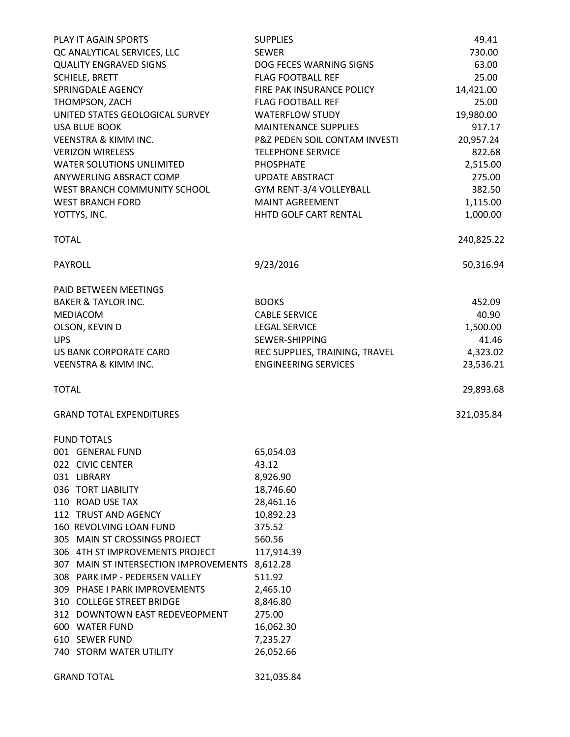| PLAY IT AGAIN SPORTS                           | <b>SUPPLIES</b>                | 49.41      |
|------------------------------------------------|--------------------------------|------------|
| QC ANALYTICAL SERVICES, LLC                    | <b>SEWER</b>                   | 730.00     |
| <b>QUALITY ENGRAVED SIGNS</b>                  | DOG FECES WARNING SIGNS        | 63.00      |
| <b>SCHIELE, BRETT</b>                          | <b>FLAG FOOTBALL REF</b>       | 25.00      |
| SPRINGDALE AGENCY                              | FIRE PAK INSURANCE POLICY      | 14,421.00  |
| THOMPSON, ZACH                                 | <b>FLAG FOOTBALL REF</b>       | 25.00      |
| UNITED STATES GEOLOGICAL SURVEY                | <b>WATERFLOW STUDY</b>         | 19,980.00  |
| <b>USA BLUE BOOK</b>                           | <b>MAINTENANCE SUPPLIES</b>    | 917.17     |
| <b>VEENSTRA &amp; KIMM INC.</b>                | P&Z PEDEN SOIL CONTAM INVESTI  | 20,957.24  |
| <b>VERIZON WIRELESS</b>                        | <b>TELEPHONE SERVICE</b>       | 822.68     |
| <b>WATER SOLUTIONS UNLIMITED</b>               | PHOSPHATE                      | 2,515.00   |
| ANYWERLING ABSRACT COMP                        | <b>UPDATE ABSTRACT</b>         | 275.00     |
|                                                |                                |            |
| WEST BRANCH COMMUNITY SCHOOL                   | GYM RENT-3/4 VOLLEYBALL        | 382.50     |
| <b>WEST BRANCH FORD</b>                        | <b>MAINT AGREEMENT</b>         | 1,115.00   |
| YOTTYS, INC.                                   | HHTD GOLF CART RENTAL          | 1,000.00   |
| <b>TOTAL</b>                                   |                                | 240,825.22 |
| PAYROLL                                        | 9/23/2016                      | 50,316.94  |
| PAID BETWEEN MEETINGS                          |                                |            |
| <b>BAKER &amp; TAYLOR INC.</b>                 | <b>BOOKS</b>                   | 452.09     |
| <b>MEDIACOM</b>                                | <b>CABLE SERVICE</b>           | 40.90      |
| OLSON, KEVIN D                                 | <b>LEGAL SERVICE</b>           | 1,500.00   |
| <b>UPS</b>                                     | SEWER-SHIPPING                 | 41.46      |
| US BANK CORPORATE CARD                         | REC SUPPLIES, TRAINING, TRAVEL | 4,323.02   |
| <b>VEENSTRA &amp; KIMM INC.</b>                | <b>ENGINEERING SERVICES</b>    | 23,536.21  |
| <b>TOTAL</b>                                   |                                | 29,893.68  |
| <b>GRAND TOTAL EXPENDITURES</b>                |                                | 321,035.84 |
|                                                |                                |            |
| <b>FUND TOTALS</b>                             |                                |            |
| 001 GENERAL FUND                               | 65,054.03                      |            |
| 022 CIVIC CENTER                               | 43.12                          |            |
| 031 LIBRARY                                    | 8,926.90                       |            |
| 036 TORT LIABILITY                             | 18,746.60                      |            |
| 110 ROAD USE TAX                               | 28,461.16                      |            |
| 112 TRUST AND AGENCY                           | 10,892.23                      |            |
| 160 REVOLVING LOAN FUND                        | 375.52                         |            |
| 305 MAIN ST CROSSINGS PROJECT                  | 560.56                         |            |
| 306 4TH ST IMPROVEMENTS PROJECT                | 117,914.39                     |            |
| 307 MAIN ST INTERSECTION IMPROVEMENTS 8,612.28 |                                |            |
| 308 PARK IMP - PEDERSEN VALLEY                 | 511.92                         |            |
| 309 PHASE I PARK IMPROVEMENTS                  | 2,465.10                       |            |
| 310 COLLEGE STREET BRIDGE                      | 8,846.80                       |            |
| 312 DOWNTOWN EAST REDEVEOPMENT                 | 275.00                         |            |
| 600 WATER FUND                                 | 16,062.30                      |            |
| 610 SEWER FUND                                 | 7,235.27                       |            |
| 740 STORM WATER UTILITY                        | 26,052.66                      |            |
| <b>GRAND TOTAL</b>                             | 321,035.84                     |            |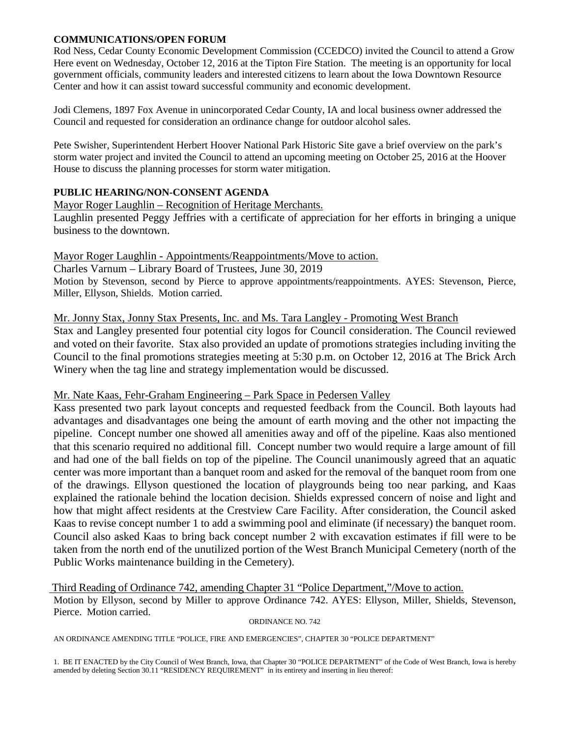# **COMMUNICATIONS/OPEN FORUM**

Rod Ness, Cedar County Economic Development Commission (CCEDCO) invited the Council to attend a Grow Here event on Wednesday, October 12, 2016 at the Tipton Fire Station. The meeting is an opportunity for local government officials, community leaders and interested citizens to learn about the Iowa Downtown Resource Center and how it can assist toward successful community and economic development.

Jodi Clemens, 1897 Fox Avenue in unincorporated Cedar County, IA and local business owner addressed the Council and requested for consideration an ordinance change for outdoor alcohol sales.

Pete Swisher, Superintendent Herbert Hoover National Park Historic Site gave a brief overview on the park's storm water project and invited the Council to attend an upcoming meeting on October 25, 2016 at the Hoover House to discuss the planning processes for storm water mitigation.

# **PUBLIC HEARING/NON-CONSENT AGENDA**

# Mayor Roger Laughlin – Recognition of Heritage Merchants.

Laughlin presented Peggy Jeffries with a certificate of appreciation for her efforts in bringing a unique business to the downtown.

# Mayor Roger Laughlin - Appointments/Reappointments/Move to action.

Charles Varnum – Library Board of Trustees, June 30, 2019 Motion by Stevenson, second by Pierce to approve appointments/reappointments. AYES: Stevenson, Pierce, Miller, Ellyson, Shields. Motion carried.

# Mr. Jonny Stax, Jonny Stax Presents, Inc. and Ms. Tara Langley - Promoting West Branch

Stax and Langley presented four potential city logos for Council consideration. The Council reviewed and voted on their favorite. Stax also provided an update of promotions strategies including inviting the Council to the final promotions strategies meeting at 5:30 p.m. on October 12, 2016 at The Brick Arch Winery when the tag line and strategy implementation would be discussed.

# Mr. Nate Kaas, Fehr-Graham Engineering – Park Space in Pedersen Valley

Kass presented two park layout concepts and requested feedback from the Council. Both layouts had advantages and disadvantages one being the amount of earth moving and the other not impacting the pipeline. Concept number one showed all amenities away and off of the pipeline. Kaas also mentioned that this scenario required no additional fill. Concept number two would require a large amount of fill and had one of the ball fields on top of the pipeline. The Council unanimously agreed that an aquatic center was more important than a banquet room and asked for the removal of the banquet room from one of the drawings. Ellyson questioned the location of playgrounds being too near parking, and Kaas explained the rationale behind the location decision. Shields expressed concern of noise and light and how that might affect residents at the Crestview Care Facility. After consideration, the Council asked Kaas to revise concept number 1 to add a swimming pool and eliminate (if necessary) the banquet room. Council also asked Kaas to bring back concept number 2 with excavation estimates if fill were to be taken from the north end of the unutilized portion of the West Branch Municipal Cemetery (north of the Public Works maintenance building in the Cemetery).

Third Reading of Ordinance 742, amending Chapter 31 "Police Department,"/Move to action.

Motion by Ellyson, second by Miller to approve Ordinance 742. AYES: Ellyson, Miller, Shields, Stevenson, Pierce. Motion carried.<br>
ORDINANCE NO. 742

AN ORDINANCE AMENDING TITLE "POLICE, FIRE AND EMERGENCIES", CHAPTER 30 "POLICE DEPARTMENT"

1. BE IT ENACTED by the City Council of West Branch, Iowa, that Chapter 30 "POLICE DEPARTMENT" of the Code of West Branch, Iowa is hereby amended by deleting Section 30.11 "RESIDENCY REQUIREMENT" in its entirety and inserting in lieu thereof: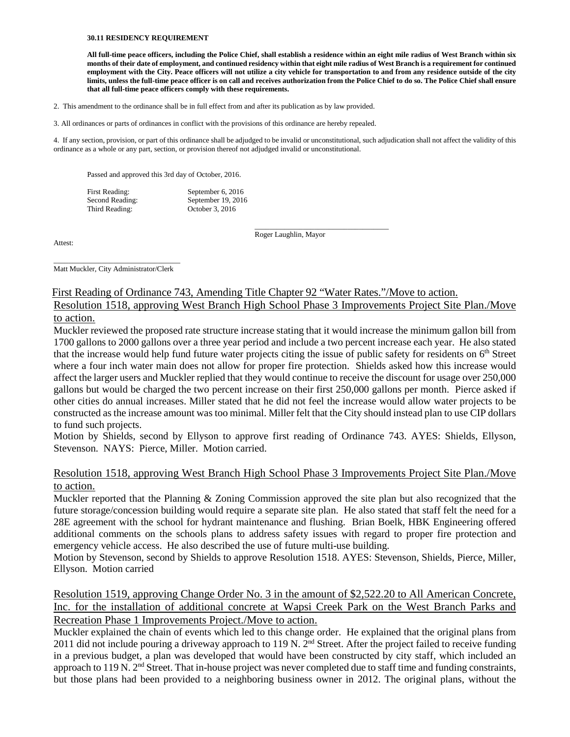#### **30.11 RESIDENCY REQUIREMENT**

**All full-time peace officers, including the Police Chief, shall establish a residence within an eight mile radius of West Branch within six months of their date of employment, and continued residency within that eight mile radius of West Branch is a requirement for continued employment with the City. Peace officers will not utilize a city vehicle for transportation to and from any residence outside of the city limits, unless the full-time peace officer is on call and receives authorization from the Police Chief to do so. The Police Chief shall ensure that all full-time peace officers comply with these requirements.** 

- 2. This amendment to the ordinance shall be in full effect from and after its publication as by law provided.
- 3. All ordinances or parts of ordinances in conflict with the provisions of this ordinance are hereby repealed.

4. If any section, provision, or part of this ordinance shall be adjudged to be invalid or unconstitutional, such adjudication shall not affect the validity of this ordinance as a whole or any part, section, or provision thereof not adjudged invalid or unconstitutional.

Passed and approved this 3rd day of October, 2016.

| First Reading:  | September 6, 2016  |
|-----------------|--------------------|
| Second Reading: | September 19, 2016 |
| Third Reading:  | October 3, 2016    |

Attest:

\_\_\_\_\_\_\_\_\_\_\_\_\_\_\_\_\_\_\_\_\_\_\_\_\_\_\_\_\_\_\_\_\_\_\_\_ Roger Laughlin, Mayor

\_\_\_\_\_\_\_\_\_\_\_\_\_\_\_\_\_\_\_\_\_\_\_\_\_\_\_\_\_\_\_\_\_\_ Matt Muckler, City Administrator/Clerk

### First Reading of Ordinance 743, Amending Title Chapter 92 "Water Rates."/Move to action.

Resolution 1518, approving West Branch High School Phase 3 Improvements Project Site Plan./Move to action.

Muckler reviewed the proposed rate structure increase stating that it would increase the minimum gallon bill from 1700 gallons to 2000 gallons over a three year period and include a two percent increase each year. He also stated that the increase would help fund future water projects citing the issue of public safety for residents on  $6<sup>th</sup>$  Street where a four inch water main does not allow for proper fire protection. Shields asked how this increase would affect the larger users and Muckler replied that they would continue to receive the discount for usage over 250,000 gallons but would be charged the two percent increase on their first 250,000 gallons per month. Pierce asked if other cities do annual increases. Miller stated that he did not feel the increase would allow water projects to be constructed as the increase amount was too minimal. Miller felt that the City should instead plan to use CIP dollars to fund such projects.

Motion by Shields, second by Ellyson to approve first reading of Ordinance 743. AYES: Shields, Ellyson, Stevenson. NAYS: Pierce, Miller. Motion carried.

# Resolution 1518, approving West Branch High School Phase 3 Improvements Project Site Plan./Move to action.

Muckler reported that the Planning & Zoning Commission approved the site plan but also recognized that the future storage/concession building would require a separate site plan. He also stated that staff felt the need for a 28E agreement with the school for hydrant maintenance and flushing. Brian Boelk, HBK Engineering offered additional comments on the schools plans to address safety issues with regard to proper fire protection and emergency vehicle access. He also described the use of future multi-use building.

Motion by Stevenson, second by Shields to approve Resolution 1518. AYES: Stevenson, Shields, Pierce, Miller, Ellyson. Motion carried

Resolution 1519, approving Change Order No. 3 in the amount of \$2,522.20 to All American Concrete, Inc. for the installation of additional concrete at Wapsi Creek Park on the West Branch Parks and Recreation Phase 1 Improvements Project./Move to action.

Muckler explained the chain of events which led to this change order. He explained that the original plans from 2011 did not include pouring a driveway approach to 119 N.  $2^{nd}$  Street. After the project failed to receive funding in a previous budget, a plan was developed that would have been constructed by city staff, which included an approach to 119 N.  $2<sup>nd</sup>$  Street. That in-house project was never completed due to staff time and funding constraints, but those plans had been provided to a neighboring business owner in 2012. The original plans, without the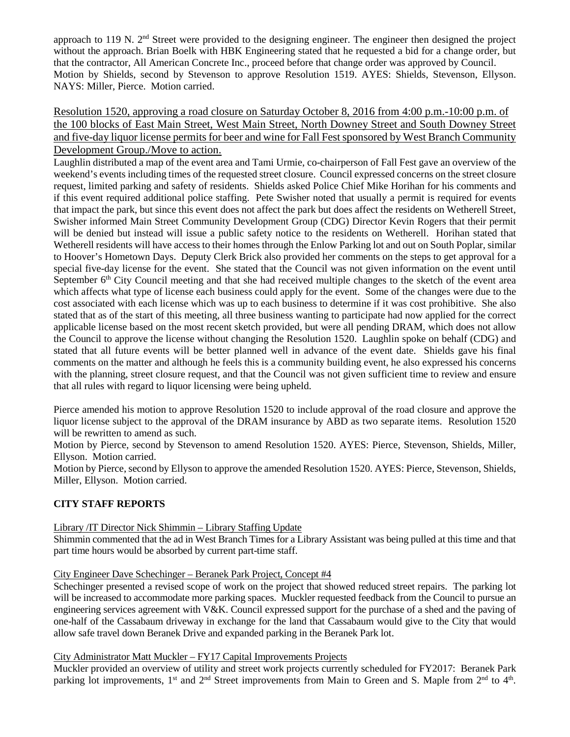approach to 119 N. 2nd Street were provided to the designing engineer. The engineer then designed the project without the approach. Brian Boelk with HBK Engineering stated that he requested a bid for a change order, but that the contractor, All American Concrete Inc., proceed before that change order was approved by Council. Motion by Shields, second by Stevenson to approve Resolution 1519. AYES: Shields, Stevenson, Ellyson. NAYS: Miller, Pierce. Motion carried.

Resolution 1520, approving a road closure on Saturday October 8, 2016 from 4:00 p.m.-10:00 p.m. of the 100 blocks of East Main Street, West Main Street, North Downey Street and South Downey Street and five-day liquor license permits for beer and wine for Fall Fest sponsored by West Branch Community Development Group./Move to action.

Laughlin distributed a map of the event area and Tami Urmie, co-chairperson of Fall Fest gave an overview of the weekend's events including times of the requested street closure. Council expressed concerns on the street closure request, limited parking and safety of residents. Shields asked Police Chief Mike Horihan for his comments and if this event required additional police staffing. Pete Swisher noted that usually a permit is required for events that impact the park, but since this event does not affect the park but does affect the residents on Wetherell Street, Swisher informed Main Street Community Development Group (CDG) Director Kevin Rogers that their permit will be denied but instead will issue a public safety notice to the residents on Wetherell. Horihan stated that Wetherell residents will have access to their homes through the Enlow Parking lot and out on South Poplar, similar to Hoover's Hometown Days. Deputy Clerk Brick also provided her comments on the steps to get approval for a special five-day license for the event. She stated that the Council was not given information on the event until September 6<sup>th</sup> City Council meeting and that she had received multiple changes to the sketch of the event area which affects what type of license each business could apply for the event. Some of the changes were due to the cost associated with each license which was up to each business to determine if it was cost prohibitive. She also stated that as of the start of this meeting, all three business wanting to participate had now applied for the correct applicable license based on the most recent sketch provided, but were all pending DRAM, which does not allow the Council to approve the license without changing the Resolution 1520. Laughlin spoke on behalf (CDG) and stated that all future events will be better planned well in advance of the event date. Shields gave his final comments on the matter and although he feels this is a community building event, he also expressed his concerns with the planning, street closure request, and that the Council was not given sufficient time to review and ensure that all rules with regard to liquor licensing were being upheld.

Pierce amended his motion to approve Resolution 1520 to include approval of the road closure and approve the liquor license subject to the approval of the DRAM insurance by ABD as two separate items. Resolution 1520 will be rewritten to amend as such.

Motion by Pierce, second by Stevenson to amend Resolution 1520. AYES: Pierce, Stevenson, Shields, Miller, Ellyson. Motion carried.

Motion by Pierce, second by Ellyson to approve the amended Resolution 1520. AYES: Pierce, Stevenson, Shields, Miller, Ellyson. Motion carried.

# **CITY STAFF REPORTS**

Library /IT Director Nick Shimmin – Library Staffing Update

Shimmin commented that the ad in West Branch Times for a Library Assistant was being pulled at this time and that part time hours would be absorbed by current part-time staff.

# City Engineer Dave Schechinger – Beranek Park Project, Concept #4

Schechinger presented a revised scope of work on the project that showed reduced street repairs. The parking lot will be increased to accommodate more parking spaces. Muckler requested feedback from the Council to pursue an engineering services agreement with V&K. Council expressed support for the purchase of a shed and the paving of one-half of the Cassabaum driveway in exchange for the land that Cassabaum would give to the City that would allow safe travel down Beranek Drive and expanded parking in the Beranek Park lot.

# City Administrator Matt Muckler – FY17 Capital Improvements Projects

Muckler provided an overview of utility and street work projects currently scheduled for FY2017: Beranek Park parking lot improvements, 1<sup>st</sup> and 2<sup>nd</sup> Street improvements from Main to Green and S. Maple from 2<sup>nd</sup> to 4<sup>th</sup>.